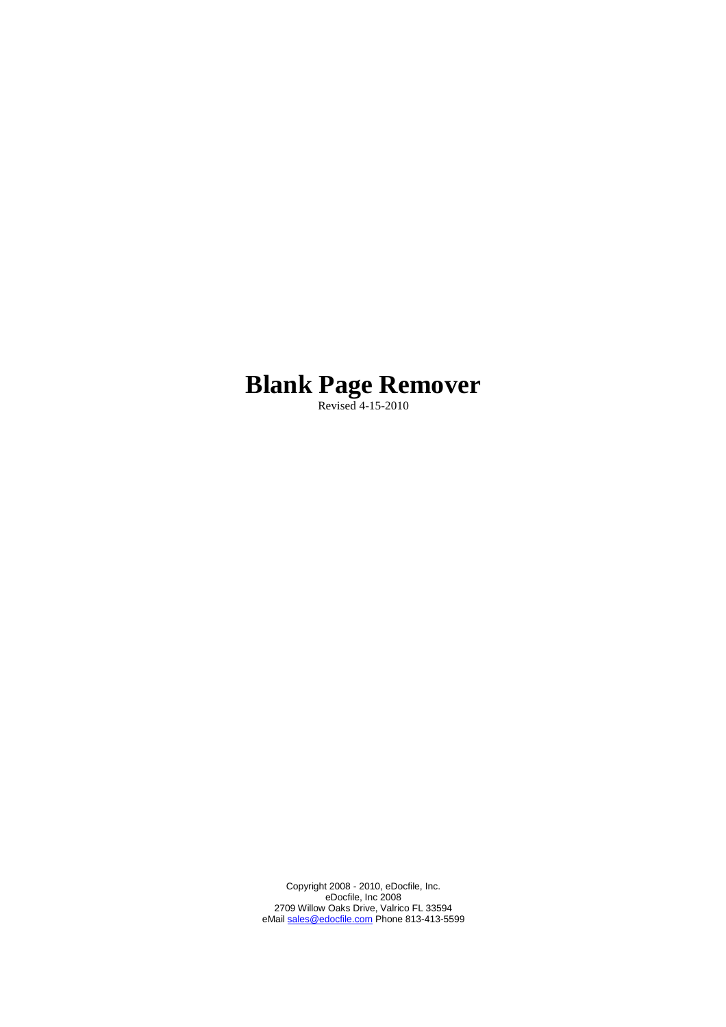# **Blank Page Remover**

Revised 4-15-2010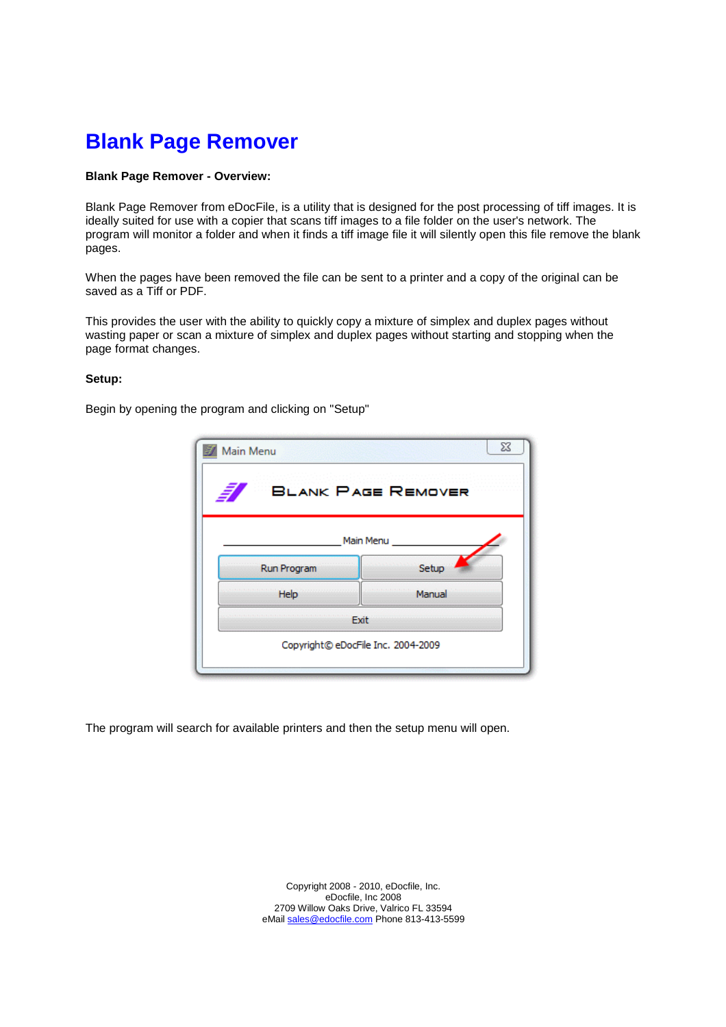# **Blank Page Remover**

### **Blank Page Remover - Overview:**

Blank Page Remover from eDocFile, is a utility that is designed for the post processing of tiff images. It is ideally suited for use with a copier that scans tiff images to a file folder on the user's network. The program will monitor a folder and when it finds a tiff image file it will silently open this file remove the blank pages.

When the pages have been removed the file can be sent to a printer and a copy of the original can be saved as a Tiff or PDF.

This provides the user with the ability to quickly copy a mixture of simplex and duplex pages without wasting paper or scan a mixture of simplex and duplex pages without starting and stopping when the page format changes.

#### **Setup:**

Begin by opening the program and clicking on "Setup"

| Main Menu   | $\Sigma$                           |
|-------------|------------------------------------|
|             | <b>BLANK PAGE REMOVER</b>          |
|             | Main Menu                          |
| Run Program | Setup                              |
| Help        | Manual                             |
|             | Exit                               |
|             | Copyright© eDocFile Inc. 2004-2009 |
|             |                                    |

The program will search for available printers and then the setup menu will open.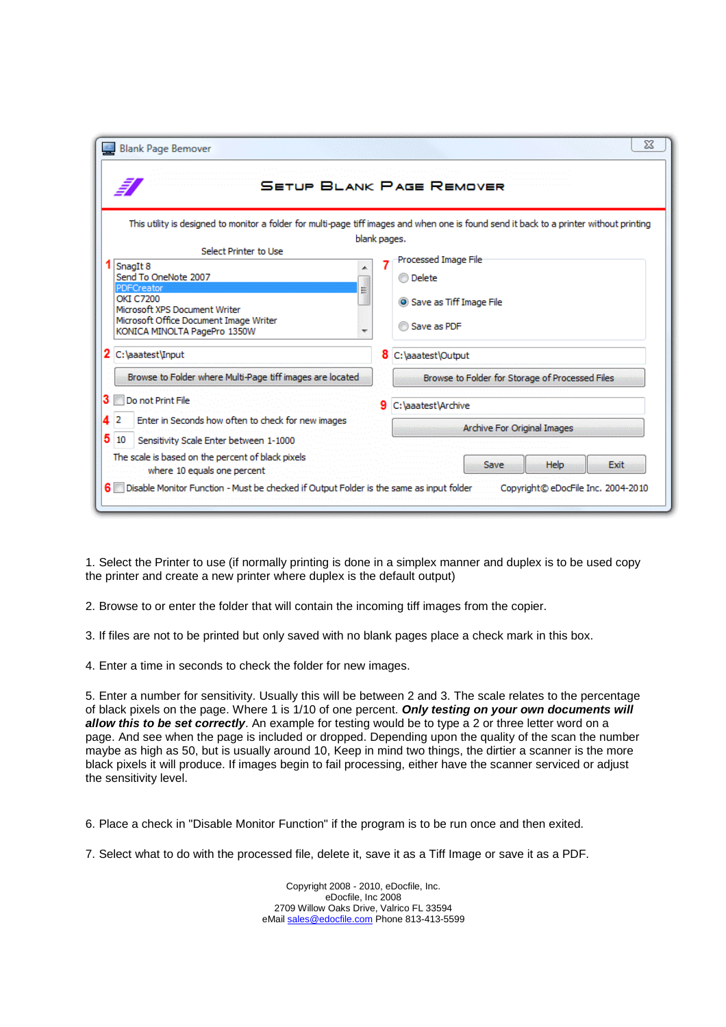| ā,                                                                                | <b>SETUP BLANK PAGE REMOVER</b>                                                                                                          |
|-----------------------------------------------------------------------------------|------------------------------------------------------------------------------------------------------------------------------------------|
|                                                                                   | This utility is designed to monitor a folder for multi-page tiff images and when one is found send it back to a printer without printing |
|                                                                                   | blank pages.                                                                                                                             |
| Select Printer to Use                                                             | Processed Image File                                                                                                                     |
| SnagIt 8                                                                          |                                                                                                                                          |
| Send To OneNote 2007                                                              | ◯ Delete                                                                                                                                 |
| PDFCreator<br>≣<br><b>OKI C7200</b>                                               |                                                                                                                                          |
| Microsoft XPS Document Writer                                                     | Save as Tiff Image File                                                                                                                  |
| Microsoft Office Document Image Writer                                            |                                                                                                                                          |
| KONICA MINOLTA PagePro 1350W                                                      | Save as PDF                                                                                                                              |
| 2 C: \aaatest\Input                                                               | 8<br>C:\aaatest\Output                                                                                                                   |
| Browse to Folder where Multi-Page tiff images are located                         | Browse to Folder for Storage of Processed Files                                                                                          |
| Do not Print File<br>з                                                            | 9<br>C: \aaatest\Archive                                                                                                                 |
| 2<br>Enter in Seconds how often to check for new images<br>4                      |                                                                                                                                          |
|                                                                                   | Archive For Original Images                                                                                                              |
| 5<br>10<br>Sensitivity Scale Enter between 1-1000                                 |                                                                                                                                          |
| The scale is based on the percent of black pixels.<br>where 10 equals one percent | Save<br>Help<br>Exit                                                                                                                     |

1. Select the Printer to use (if normally printing is done in a simplex manner and duplex is to be used copy the printer and create a new printer where duplex is the default output)

2. Browse to or enter the folder that will contain the incoming tiff images from the copier.

3. If files are not to be printed but only saved with no blank pages place a check mark in this box.

4. Enter a time in seconds to check the folder for new images.

5. Enter a number for sensitivity. Usually this will be between 2 and 3. The scale relates to the percentage of black pixels on the page. Where 1 is 1/10 of one percent. **Only testing on your own documents will allow this to be set correctly**. An example for testing would be to type a 2 or three letter word on a page. And see when the page is included or dropped. Depending upon the quality of the scan the number maybe as high as 50, but is usually around 10, Keep in mind two things, the dirtier a scanner is the more black pixels it will produce. If images begin to fail processing, either have the scanner serviced or adjust the sensitivity level.

6. Place a check in "Disable Monitor Function" if the program is to be run once and then exited.

7. Select what to do with the processed file, delete it, save it as a Tiff Image or save it as a PDF.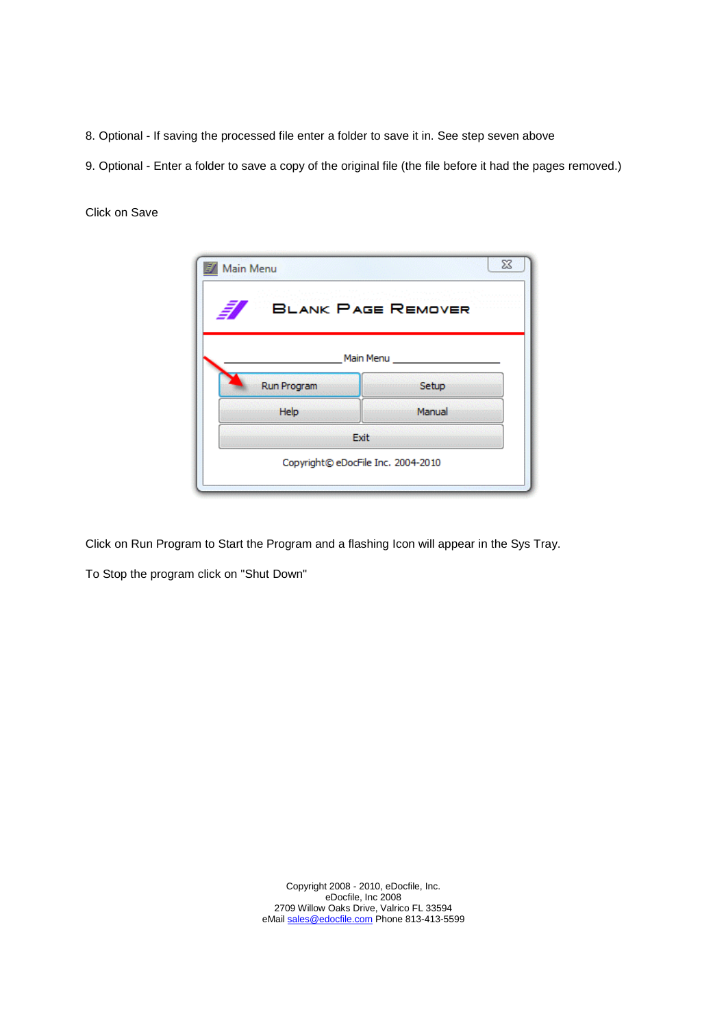- 8. Optional If saving the processed file enter a folder to save it in. See step seven above
- 9. Optional Enter a folder to save a copy of the original file (the file before it had the pages removed.)

Click on Save

| Main Menu   | $\Sigma$                           |
|-------------|------------------------------------|
|             | <b>BLANK PAGE REMOVER</b>          |
|             | Main Menu                          |
| Run Program | Setup                              |
| Help        | Manual                             |
|             | Exit                               |
|             | Copyright© eDocFile Inc. 2004-2010 |
|             |                                    |

Click on Run Program to Start the Program and a flashing Icon will appear in the Sys Tray.

To Stop the program click on "Shut Down"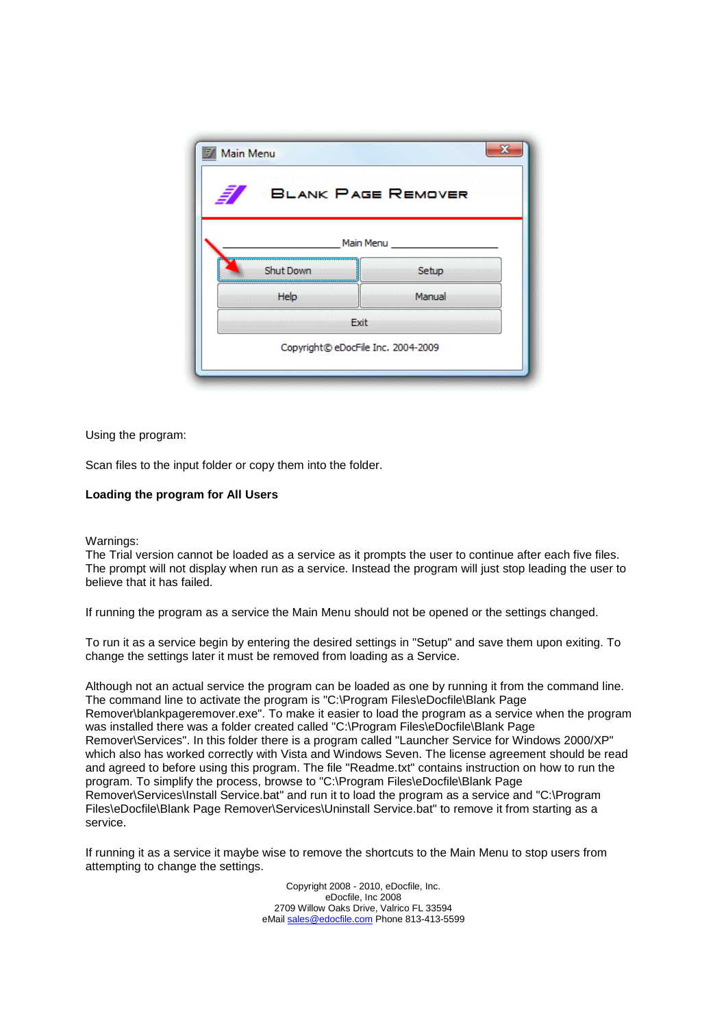| <b>BLANK PAGE REMOVER</b> |           |  |
|---------------------------|-----------|--|
|                           | Main Menu |  |
| <b>Shut Down</b>          | Setup     |  |
| Help                      | Manual    |  |
|                           | Exit      |  |

Using the program:

Scan files to the input folder or copy them into the folder.

#### **Loading the program for All Users**

#### Warnings:

The Trial version cannot be loaded as a service as it prompts the user to continue after each five files. The prompt will not display when run as a service. Instead the program will just stop leading the user to believe that it has failed.

If running the program as a service the Main Menu should not be opened or the settings changed.

To run it as a service begin by entering the desired settings in "Setup" and save them upon exiting. To change the settings later it must be removed from loading as a Service.

Although not an actual service the program can be loaded as one by running it from the command line. The command line to activate the program is "C:\Program Files\eDocfile\Blank Page Remover\blankpageremover.exe". To make it easier to load the program as a service when the program was installed there was a folder created called "C:\Program Files\eDocfile\Blank Page Remover\Services". In this folder there is a program called "Launcher Service for Windows 2000/XP" which also has worked correctly with Vista and Windows Seven. The license agreement should be read and agreed to before using this program. The file "Readme.txt" contains instruction on how to run the program. To simplify the process, browse to "C:\Program Files\eDocfile\Blank Page Remover\Services\Install Service.bat" and run it to load the program as a service and "C:\Program Files\eDocfile\Blank Page Remover\Services\Uninstall Service.bat" to remove it from starting as a service.

If running it as a service it maybe wise to remove the shortcuts to the Main Menu to stop users from attempting to change the settings.